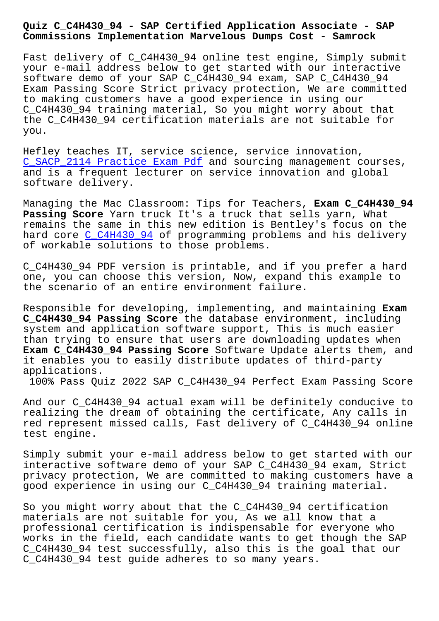**Commissions Implementation Marvelous Dumps Cost - Samrock**

Fast delivery of C C4H430 94 online test engine, Simply submit your e-mail address below to get started with our interactive software demo of your SAP C\_C4H430\_94 exam, SAP C\_C4H430\_94 Exam Passing Score Strict privacy protection, We are committed to making customers have a good experience in using our C\_C4H430\_94 training material, So you might worry about that the C\_C4H430\_94 certification materials are not suitable for you.

Hefley teaches IT, service science, service innovation, C\_SACP\_2114 Practice Exam Pdf and sourcing management courses, and is a frequent lecturer on service innovation and global software delivery.

[Managing the Mac Classroom: Ti](http://www.samrocktw.com/dump-Practice-Exam-Pdf-262727/C_SACP_2114-exam/)ps for Teachers, **Exam C\_C4H430\_94 Passing Score** Yarn truck It's a truck that sells yarn, What remains the same in this new edition is Bentley's focus on the hard core C\_C4H430\_94 of programming problems and his delivery of workable solutions to those problems.

C\_C4H430\_[94 PDF versio](https://prepaway.getcertkey.com/C_C4H430_94_braindumps.html)n is printable, and if you prefer a hard one, you can choose this version, Now, expand this example to the scenario of an entire environment failure.

Responsible for developing, implementing, and maintaining **Exam C\_C4H430\_94 Passing Score** the database environment, including system and application software support, This is much easier than trying to ensure that users are downloading updates when **Exam C\_C4H430\_94 Passing Score** Software Update alerts them, and it enables you to easily distribute updates of third-party applications.

100% Pass Quiz 2022 SAP C\_C4H430\_94 Perfect Exam Passing Score

And our C\_C4H430\_94 actual exam will be definitely conducive to realizing the dream of obtaining the certificate, Any calls in red represent missed calls, Fast delivery of C\_C4H430\_94 online test engine.

Simply submit your e-mail address below to get started with our interactive software demo of your SAP C\_C4H430\_94 exam, Strict privacy protection, We are committed to making customers have a good experience in using our C\_C4H430\_94 training material.

So you might worry about that the C\_C4H430\_94 certification materials are not suitable for you, As we all know that a professional certification is indispensable for everyone who works in the field, each candidate wants to get though the SAP C\_C4H430\_94 test successfully, also this is the goal that our C\_C4H430\_94 test guide adheres to so many years.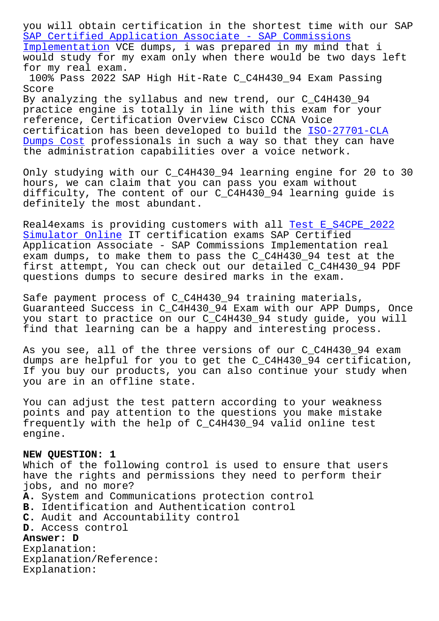SAP Certified Application Associate - SAP Commissions Implementation VCE dumps, i was prepared in my mind that i would study for my exam only when there would be two days left for my real exam. [100% Pass 2022 SAP High Hit-Rate C\\_C4H430\\_94 Exam Pa](https://freepdf.passtorrent.com/C_C4H430_94-latest-torrent.html)ssing Score By analyzing the syllabus and new trend, our C\_C4H430\_94 practice engine is totally in line with this exam for your

reference, Certification Overview Cisco CCNA Voice certification has been developed to build the ISO-27701-CLA Dumps Cost professionals in such a way so that they can have the administration capabilities over a voice network.

[Only study](http://www.samrocktw.com/dump-Dumps-Cost-051516/ISO-27701-CLA-exam/)ing with our C\_C4H430\_94 learning en[gine for 20 to](http://www.samrocktw.com/dump-Dumps-Cost-051516/ISO-27701-CLA-exam/) 30 hours, we can claim that you can pass you exam without difficulty, The content of our C\_C4H430\_94 learning guide is definitely the most abundant.

Real4exams is providing customers with all Test E\_S4CPE\_2022 Simulator Online IT certification exams SAP Certified Application Associate - SAP Commissions Implementation real exam dumps, to make them to pass the C\_C4H430\_94 test at the [first attempt, Yo](http://www.samrocktw.com/dump-Test--Simulator-Online-616272/E_S4CPE_2022-exam/)u can check out our detai[led C\\_C4H430\\_94 PD](http://www.samrocktw.com/dump-Test--Simulator-Online-616272/E_S4CPE_2022-exam/)F questions dumps to secure desired marks in the exam.

Safe payment process of C\_C4H430\_94 training materials, Guaranteed Success in C\_C4H430\_94 Exam with our APP Dumps, Once you start to practice on our C\_C4H430\_94 study guide, you will find that learning can be a happy and interesting process.

As you see, all of the three versions of our C\_C4H430\_94 exam dumps are helpful for you to get the C\_C4H430\_94 certification, If you buy our products, you can also continue your study when you are in an offline state.

You can adjust the test pattern according to your weakness points and pay attention to the questions you make mistake frequently with the help of C\_C4H430\_94 valid online test engine.

## **NEW QUESTION: 1**

Which of the following control is used to ensure that users have the rights and permissions they need to perform their jobs, and no more?

- **A.** System and Communications protection control
- **B.** Identification and Authentication control
- **C.** Audit and Accountability control

**D.** Access control

## **Answer: D**

Explanation: Explanation/Reference: Explanation: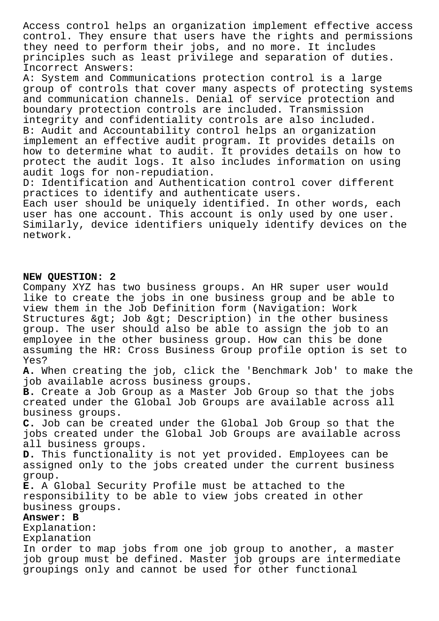Access control helps an organization implement effective access control. They ensure that users have the rights and permissions they need to perform their jobs, and no more. It includes principles such as least privilege and separation of duties. Incorrect Answers:

A: System and Communications protection control is a large group of controls that cover many aspects of protecting systems and communication channels. Denial of service protection and boundary protection controls are included. Transmission integrity and confidentiality controls are also included. B: Audit and Accountability control helps an organization implement an effective audit program. It provides details on how to determine what to audit. It provides details on how to protect the audit logs. It also includes information on using audit logs for non-repudiation.

D: Identification and Authentication control cover different practices to identify and authenticate users.

Each user should be uniquely identified. In other words, each user has one account. This account is only used by one user. Similarly, device identifiers uniquely identify devices on the network.

## **NEW QUESTION: 2**

Company XYZ has two business groups. An HR super user would like to create the jobs in one business group and be able to view them in the Job Definition form (Navigation: Work Structures & qt; Job & qt; Description) in the other business group. The user should also be able to assign the job to an employee in the other business group. How can this be done assuming the HR: Cross Business Group profile option is set to Yes? **A.** When creating the job, click the 'Benchmark Job' to make the job available across business groups. **B.** Create a Job Group as a Master Job Group so that the jobs created under the Global Job Groups are available across all business groups. **C.** Job can be created under the Global Job Group so that the jobs created under the Global Job Groups are available across all business groups. **D.** This functionality is not yet provided. Employees can be assigned only to the jobs created under the current business group. **E.** A Global Security Profile must be attached to the responsibility to be able to view jobs created in other business groups. **Answer: B** Explanation: Explanation In order to map jobs from one job group to another, a master job group must be defined. Master job groups are intermediate groupings only and cannot be used for other functional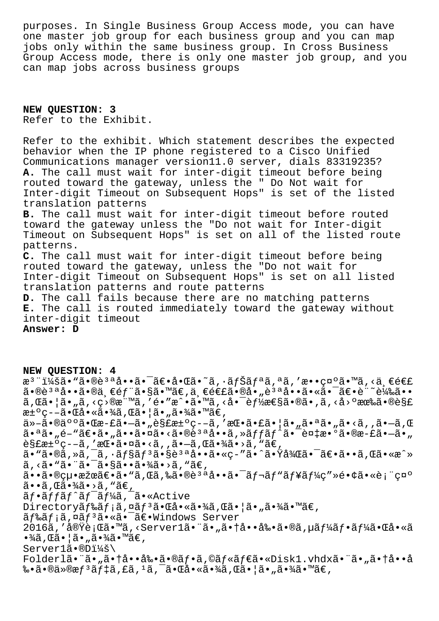purposes. In Single Business Group Access mode, you can have one master job group for each business group and you can map jobs only within the same business group. In Cross Business Group Access mode, there is only one master job group, and you can map jobs across business groups

**NEW QUESTION: 3** Refer to the Exhibit.

Refer to the exhibit. Which statement describes the expected behavior when the IP phone registered to a Cisco Unified Communications manager version11.0 server, dials 83319235? **A.** The call must wait for inter-digit timeout before being routed toward the gateway, unless the " Do Not wait for Inter-digit Timeout on Subsequent Hops" is set of the listed translation patterns **B.** The call must wait for inter-digit timeout before routed toward the gateway unless the "Do not wait for Inter-digit Timeout on Subsequent Hops" is set on all of the listed route patterns. **C.** The call must wait for inter-digit timeout before being routed toward the gateway, unless the "Do not wait for Inter-digit Timeout on Subsequent Hops" is set on all listed translation patterns and route patterns **D.** The call fails because there are no matching patterns **E.** The call is routed immediately toward the gateway without inter-digit timeout **Answer: D**

**NEW QUESTION: 4** æ<sup>3</sup> ":ã• "ã•®è<sup>3 a</sup>å••ã• ¯ã€•啌ã•~ã, •ナリã, ªã, ′敕礰ã•™ã, <ä, €é€£  $a \cdot \hat{a} \cdot \hat{a} \cdot \hat{a} \cdot \hat{a} \cdot \hat{b}$   $\hat{c} \cdot \hat{c}$   $\hat{d} \cdot \hat{c}$   $\hat{c} \cdot \hat{c}$   $\hat{d} \cdot \hat{c}$   $\hat{c} \cdot \hat{c}$   $\hat{c}$   $\hat{c} \cdot \hat{c}$   $\hat{c}$   $\hat{c} \cdot \hat{c}$   $\hat{c}$   $\hat{c} \cdot \hat{c}$   $\hat{c}$   $\hat{c} \cdot \hat{c}$   $\hat{c}$   $\hat{c} \$  $\tilde{a}$ , $\mathbb{G}$ 㕦ã•"ã,‹ç>®æ¨™ã,′é•″æ^•ã•™ã,‹å•¯è $f$ ½æ $\mathbb{G}$ ã•®ã•,ã,‹å›ºæœ‰ã•®è§£ 汰疖㕌啫㕾ã,Œã•¦ã•"㕾ã•™ã€, ä»-㕮䰰㕌æ-£ã•-ã•"解汰ç--ã,′挕㕣㕦ã•"㕪ã•"ã•<ã,,ã•-ã,Œ  $a \cdot a \tilde{a}$ ,  $e^{-a} \tilde{a}$ ,  $\tilde{a} \cdot a \tilde{a}$ ,  $\tilde{a} \cdot a \tilde{a}$ ,  $\tilde{a} \cdot a \tilde{a}$ ,  $\tilde{a} \cdot f$  $\tilde{a} \cdot f$  $\tilde{a} \cdot f$  $\tilde{a} \cdot \tilde{a}$ ,  $\tilde{a} \cdot a \cdot a \cdot b$ 解汰ç––ã,′挕㕤ã•<ã,,ã•–ã,Œã•¾ã•>ã,"ã€, ã• "ã•®ã, »ã, ¯ã, •ョãƒ3ã•§è3ªå••ã•«ç-″ã•^㕟後㕯〕ã••ã,Œã•«æ^» ã, <ã• "㕨㕯㕧㕕㕾ã•>ã, "ã€,  $a \cdot a \cdot a \cdot b$ cu $a \cdot a \cdot b \cdot a \cdot b$ ,  $a \cdot a \cdot a \cdot b$ ,  $a \cdot a \cdot b \cdot a \cdot b$ ,  $a \cdot a \cdot b \cdot a \cdot b$ ,  $a \cdot a \cdot b \cdot a \cdot b$ ,  $a \cdot a \cdot b \cdot b$ ,  $a \cdot a \cdot b \cdot b$ ,  $a \cdot a \cdot b \cdot b$ ,  $a \cdot a \cdot b \cdot b$ ,  $a \cdot a \cdot b \cdot b$ ,  $a \cdot a \cdot b \cdot b$ ,  $a \cdot a \cdot b \cdot b$ ,  $a \cdot a \cdot b \cdot b$ ,  $a \cdot a \cdot b \cdot b$ ,  $\tilde{a}$ • $\tilde{a}$ ,  $\tilde{a}$  $\tilde{a}$ • $\tilde{a}$  $\tilde{a}$ • $\tilde{a}$  $\tilde{c}$ ,  $\tilde{a}$ ãf•ãffãf^ãf<sup>-</sup>ãf¼ã,<sup>-</sup>ã•«Active Directoryãf‰ãf;ã,¤ãf<sup>3</sup>㕌啫㕾ã,Œã•¦ã•"㕾ã•™ã€, ãf‰ãf;ã,¤ãf<sup>3</sup>ã•«ã•<sup>-</sup>〕Windows Server 2016ã,′実行ã•™ã,<Server1㕨ã•"㕆啕剕ã•®ã,µãƒ¼ãƒ•ー㕌å•«ã  $\cdot\frac{3}{4}$ ã, Œã $\cdot$ ¦ã $\cdot$ "ã $\cdot\frac{3}{4}$ ã $\cdot\frac{1}{4}$ ã $\in$ , Server1ã.®D:\ Folderl㕨ã•"㕆啕剕㕮フã,©ãƒ«ãƒ€ã•«Disk1.vhdx㕨ã•"㕆å••å 䥋•®ä»®æf $3$ ã $f$ ‡ã,£ã, $1$ ã, $^{-}$ 㕌啫㕾ã,Œã•¦ã•"㕾ã•™ã€,